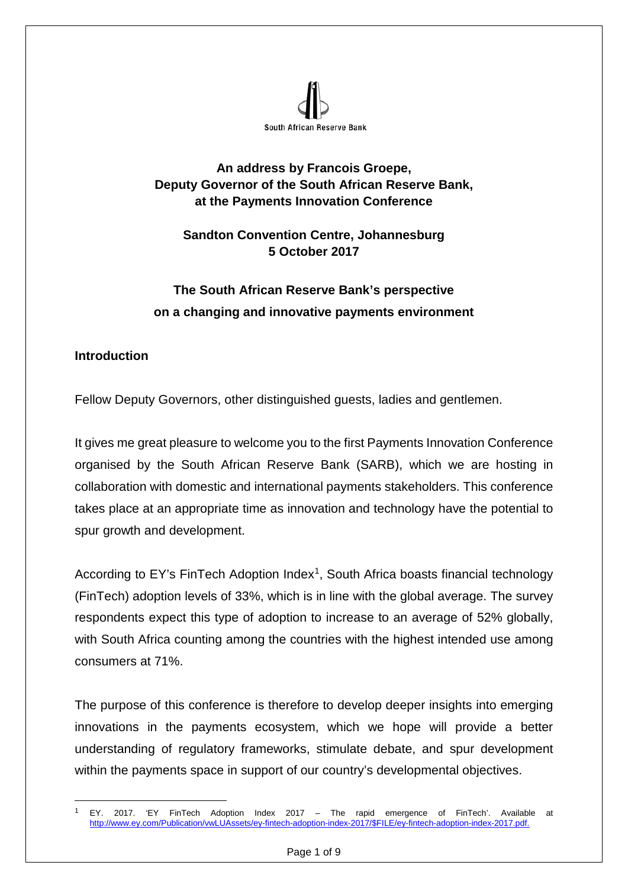

#### **An address by Francois Groepe, Deputy Governor of the South African Reserve Bank, at the Payments Innovation Conference**

# **Sandton Convention Centre, Johannesburg 5 October 2017**

# **The South African Reserve Bank's perspective on a changing and innovative payments environment**

## **Introduction**

Fellow Deputy Governors, other distinguished guests, ladies and gentlemen.

It gives me great pleasure to welcome you to the first Payments Innovation Conference organised by the South African Reserve Bank (SARB), which we are hosting in collaboration with domestic and international payments stakeholders. This conference takes place at an appropriate time as innovation and technology have the potential to spur growth and development.

According to EY's FinTech Adoption Index<sup>1</sup>, South Africa boasts financial technology (FinTech) adoption levels of 33%, which is in line with the global average. The survey respondents expect this type of adoption to increase to an average of 52% globally, with South Africa counting among the countries with the highest intended use among consumers at 71%.

The purpose of this conference is therefore to develop deeper insights into emerging innovations in the payments ecosystem, which we hope will provide a better understanding of regulatory frameworks, stimulate debate, and spur development within the payments space in support of our country's developmental objectives.

<span id="page-0-0"></span> <sup>1</sup> EY. 2017. 'EY FinTech Adoption Index 2017 – The rapid emergence of FinTech'. Available at [http://www.ey.com/Publication/vwLUAssets/ey-fintech-adoption-index-2017/\\$FILE/ey-fintech-adoption-index-2017.pdf.](http://www.ey.com/Publication/vwLUAssets/ey-fintech-adoption-index-2017/$FILE/ey-fintech-adoption-index-2017.pdf)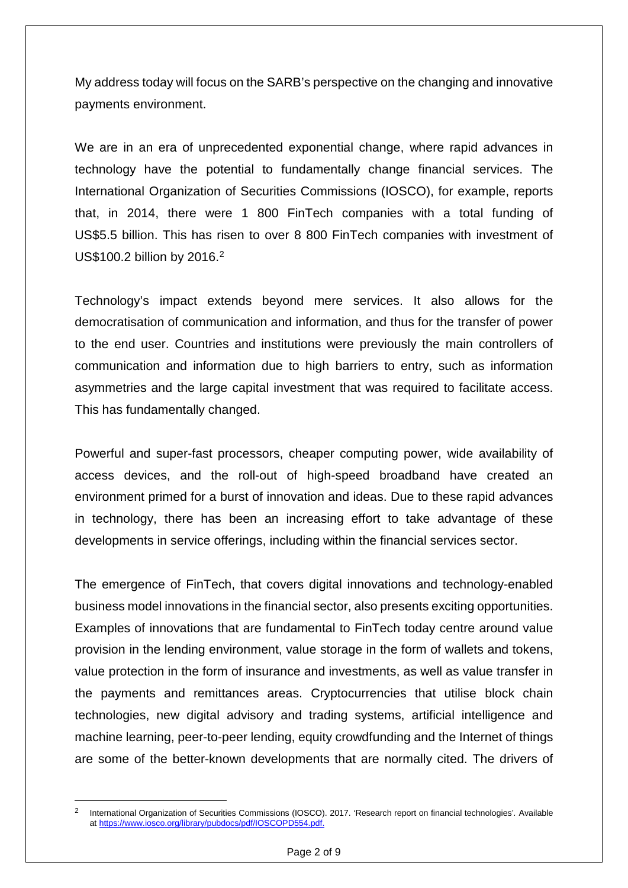My address today will focus on the SARB's perspective on the changing and innovative payments environment.

We are in an era of unprecedented exponential change, where rapid advances in technology have the potential to fundamentally change financial services. The International Organization of Securities Commissions (IOSCO), for example, reports that, in 2014, there were 1 800 FinTech companies with a total funding of US\$5.5 billion. This has risen to over 8 800 FinTech companies with investment of US\$100.2 billion by 2016. [2](#page-1-0)

Technology's impact extends beyond mere services. It also allows for the democratisation of communication and information, and thus for the transfer of power to the end user. Countries and institutions were previously the main controllers of communication and information due to high barriers to entry, such as information asymmetries and the large capital investment that was required to facilitate access. This has fundamentally changed.

Powerful and super-fast processors, cheaper computing power, wide availability of access devices, and the roll-out of high-speed broadband have created an environment primed for a burst of innovation and ideas. Due to these rapid advances in technology, there has been an increasing effort to take advantage of these developments in service offerings, including within the financial services sector.

The emergence of FinTech, that covers digital innovations and technology-enabled business model innovations in the financial sector, also presents exciting opportunities. Examples of innovations that are fundamental to FinTech today centre around value provision in the lending environment, value storage in the form of wallets and tokens, value protection in the form of insurance and investments, as well as value transfer in the payments and remittances areas. Cryptocurrencies that utilise block chain technologies, new digital advisory and trading systems, artificial intelligence and machine learning, peer-to-peer lending, equity crowdfunding and the Internet of things are some of the better-known developments that are normally cited. The drivers of

<span id="page-1-0"></span> <sup>2</sup> International Organization of Securities Commissions (IOSCO). 2017. 'Research report on financial technologies'*.* Available at [https://www.iosco.org/library/pubdocs/pdf/IOSCOPD554.pdf.](https://www.iosco.org/library/pubdocs/pdf/IOSCOPD554.pdf)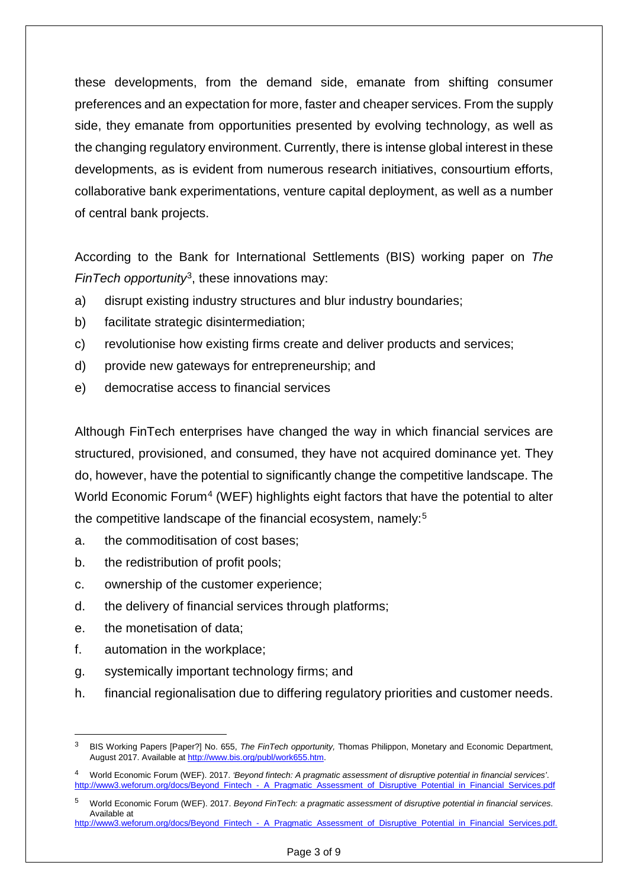these developments, from the demand side, emanate from shifting consumer preferences and an expectation for more, faster and cheaper services. From the supply side, they emanate from opportunities presented by evolving technology, as well as the changing regulatory environment. Currently, there is intense global interest in these developments, as is evident from numerous research initiatives, consourtium efforts, collaborative bank experimentations, venture capital deployment, as well as a number of central bank projects.

According to the Bank for International Settlements (BIS) working paper on *The FinTech opportunity*[3,](#page-2-0) these innovations may:

- a) disrupt existing industry structures and blur industry boundaries;
- b) facilitate strategic disintermediation;
- c) revolutionise how existing firms create and deliver products and services;
- d) provide new gateways for entrepreneurship; and
- e) democratise access to financial services

Although FinTech enterprises have changed the way in which financial services are structured, provisioned, and consumed, they have not acquired dominance yet. They do, however, have the potential to significantly change the competitive landscape. The World Economic Forum<sup>[4](#page-2-1)</sup> (WEF) highlights eight factors that have the potential to alter the competitive landscape of the financial ecosystem, namely:[5](#page-2-2)

- a. the commoditisation of cost bases;
- b. the redistribution of profit pools;
- c. ownership of the customer experience;
- d. the delivery of financial services through platforms;
- e. the monetisation of data;
- f. automation in the workplace;
- g. systemically important technology firms; and
- h. financial regionalisation due to differing regulatory priorities and customer needs.

<span id="page-2-0"></span> <sup>3</sup> BIS Working Papers [Paper?] No. 655, *The FinTech opportunity,* Thomas Philippon, Monetary and Economic Department, August 2017. Available at [http://www.bis.org/publ/work655.htm.](http://www.bis.org/publ/work655.htm)

<span id="page-2-1"></span><sup>4</sup> World Economic Forum (WEF). 2017. *'Beyond fintech: A pragmatic assessment of disruptive potential in financial services'*. [http://www3.weforum.org/docs/Beyond\\_Fintech\\_-\\_A\\_Pragmatic\\_Assessment\\_of\\_Disruptive\\_Potential\\_in\\_Financial\\_Services.pdf](http://www3.weforum.org/docs/Beyond_Fintech_-_A_Pragmatic_Assessment_of_Disruptive_Potential_in_Financial_Services.pdf)

<span id="page-2-2"></span><sup>5</sup> World Economic Forum (WEF). 2017. *Beyond FinTech: a pragmatic assessment of disruptive potential in financial services*. Available at

[http://www3.weforum.org/docs/Beyond\\_Fintech\\_-\\_A\\_Pragmatic\\_Assessment\\_of\\_Disruptive\\_Potential\\_in\\_Financial\\_Services.pdf.](http://www3.weforum.org/docs/Beyond_Fintech_-_A_Pragmatic_Assessment_of_Disruptive_Potential_in_Financial_Services.pdf)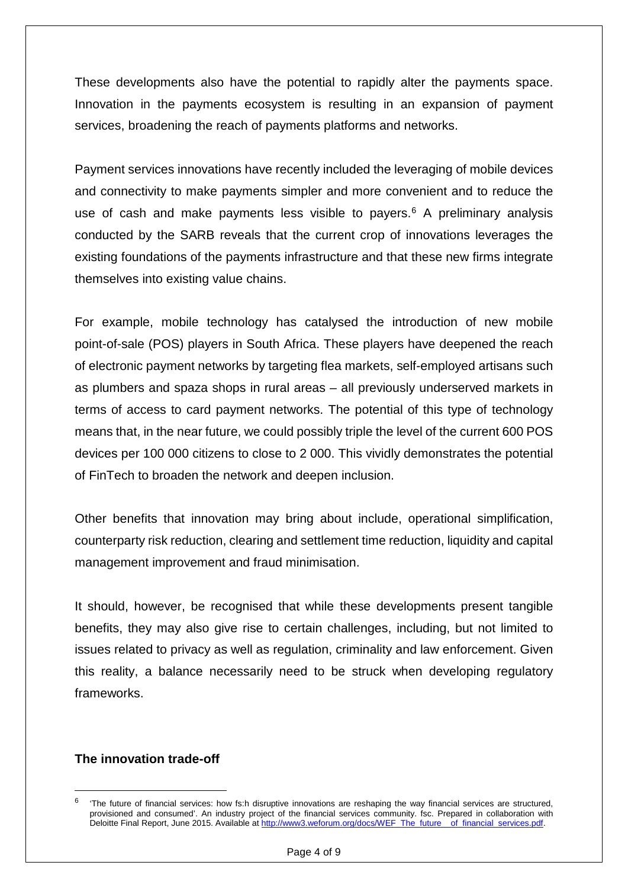These developments also have the potential to rapidly alter the payments space. Innovation in the payments ecosystem is resulting in an expansion of payment services, broadening the reach of payments platforms and networks.

Payment services innovations have recently included the leveraging of mobile devices and connectivity to make payments simpler and more convenient and to reduce the use of cash and make payments less visible to payers. [6](#page-3-0) A preliminary analysis conducted by the SARB reveals that the current crop of innovations leverages the existing foundations of the payments infrastructure and that these new firms integrate themselves into existing value chains.

For example, mobile technology has catalysed the introduction of new mobile point-of-sale (POS) players in South Africa. These players have deepened the reach of electronic payment networks by targeting flea markets, self-employed artisans such as plumbers and spaza shops in rural areas – all previously underserved markets in terms of access to card payment networks. The potential of this type of technology means that, in the near future, we could possibly triple the level of the current 600 POS devices per 100 000 citizens to close to 2 000. This vividly demonstrates the potential of FinTech to broaden the network and deepen inclusion.

Other benefits that innovation may bring about include, operational simplification, counterparty risk reduction, clearing and settlement time reduction, liquidity and capital management improvement and fraud minimisation.

It should, however, be recognised that while these developments present tangible benefits, they may also give rise to certain challenges, including, but not limited to issues related to privacy as well as regulation, criminality and law enforcement. Given this reality, a balance necessarily need to be struck when developing regulatory frameworks.

#### **The innovation trade-off**

<span id="page-3-0"></span> <sup>6</sup> 'The future of financial services: how fs:h disruptive innovations are reshaping the way financial services are structured, provisioned and consumed'. An industry project of the financial services community. fsc. Prepared in collaboration with Deloitte Final Report, June 2015. Available at [http://www3.weforum.org/docs/WEF\\_The\\_future\\_\\_of\\_financial\\_services.pdf.](http://www3.weforum.org/docs/WEF_The_future__of_financial_services.pdf)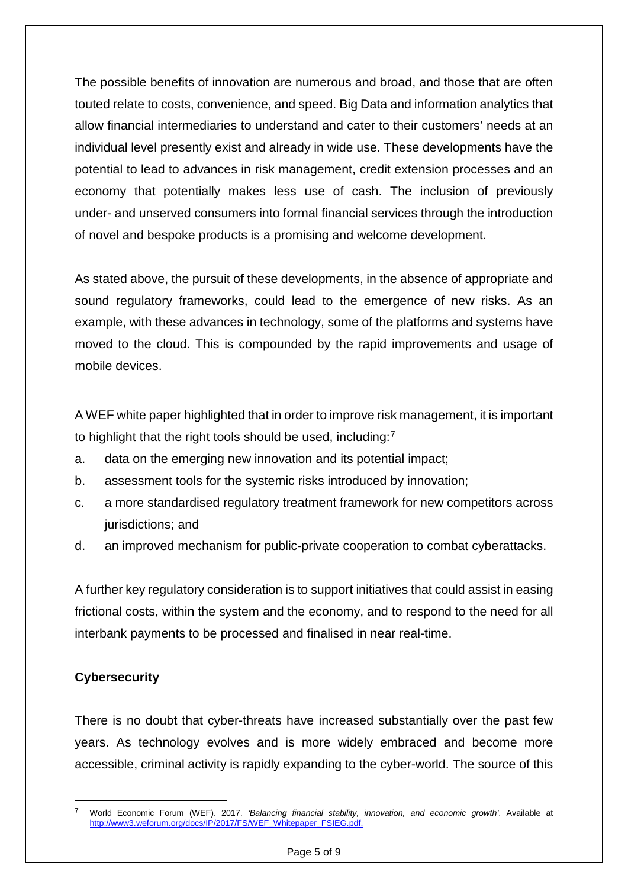The possible benefits of innovation are numerous and broad, and those that are often touted relate to costs, convenience, and speed. Big Data and information analytics that allow financial intermediaries to understand and cater to their customers' needs at an individual level presently exist and already in wide use. These developments have the potential to lead to advances in risk management, credit extension processes and an economy that potentially makes less use of cash. The inclusion of previously under- and unserved consumers into formal financial services through the introduction of novel and bespoke products is a promising and welcome development.

As stated above, the pursuit of these developments, in the absence of appropriate and sound regulatory frameworks, could lead to the emergence of new risks. As an example, with these advances in technology, some of the platforms and systems have moved to the cloud. This is compounded by the rapid improvements and usage of mobile devices.

A WEF white paper highlighted that in order to improve risk management, it is important to highlight that the right tools should be used, including:<sup>[7](#page-4-0)</sup>

- a. data on the emerging new innovation and its potential impact;
- b. assessment tools for the systemic risks introduced by innovation;
- c. a more standardised regulatory treatment framework for new competitors across jurisdictions; and
- d. an improved mechanism for public-private cooperation to combat cyberattacks.

A further key regulatory consideration is to support initiatives that could assist in easing frictional costs, within the system and the economy, and to respond to the need for all interbank payments to be processed and finalised in near real-time.

## **Cybersecurity**

There is no doubt that cyber-threats have increased substantially over the past few years. As technology evolves and is more widely embraced and become more accessible, criminal activity is rapidly expanding to the cyber-world. The source of this

<span id="page-4-0"></span> <sup>7</sup> World Economic Forum (WEF). 2017. *'Balancing financial stability, innovation, and economic growth'*. Available at [http://www3.weforum.org/docs/IP/2017/FS/WEF\\_Whitepaper\\_FSIEG.pdf.](http://www3.weforum.org/docs/IP/2017/FS/WEF_Whitepaper_FSIEG.pdf)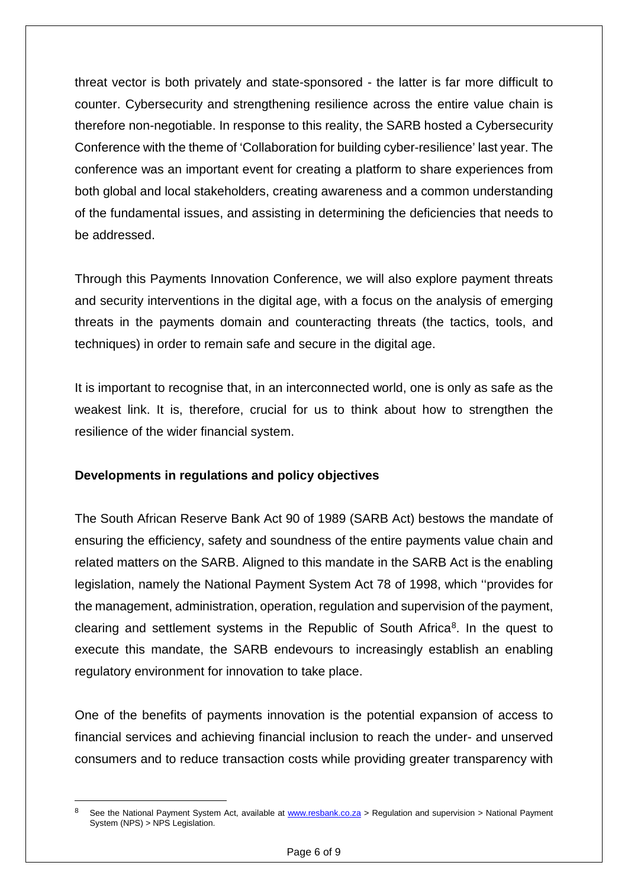threat vector is both privately and state-sponsored - the latter is far more difficult to counter. Cybersecurity and strengthening resilience across the entire value chain is therefore non-negotiable. In response to this reality, the SARB hosted a Cybersecurity Conference with the theme of 'Collaboration for building cyber-resilience' last year. The conference was an important event for creating a platform to share experiences from both global and local stakeholders, creating awareness and a common understanding of the fundamental issues, and assisting in determining the deficiencies that needs to be addressed.

Through this Payments Innovation Conference, we will also explore payment threats and security interventions in the digital age, with a focus on the analysis of emerging threats in the payments domain and counteracting threats (the tactics, tools, and techniques) in order to remain safe and secure in the digital age.

It is important to recognise that, in an interconnected world, one is only as safe as the weakest link. It is, therefore, crucial for us to think about how to strengthen the resilience of the wider financial system.

#### **Developments in regulations and policy objectives**

The South African Reserve Bank Act 90 of 1989 (SARB Act) bestows the mandate of ensuring the efficiency, safety and soundness of the entire payments value chain and related matters on the SARB. Aligned to this mandate in the SARB Act is the enabling legislation, namely the National Payment System Act 78 of 1998, which ''provides for the management, administration, operation, regulation and supervision of the payment, clearing and settlement systems in the Republic of South Africa<sup>8</sup>. In the quest to execute this mandate, the SARB endevours to increasingly establish an enabling regulatory environment for innovation to take place.

One of the benefits of payments innovation is the potential expansion of access to financial services and achieving financial inclusion to reach the under- and unserved consumers and to reduce transaction costs while providing greater transparency with

<span id="page-5-0"></span>See the National Payment System Act, available at [www.resbank.co.za](http://www.resbank.co.za/) > Regulation and supervision > National Payment System (NPS) > NPS Legislation.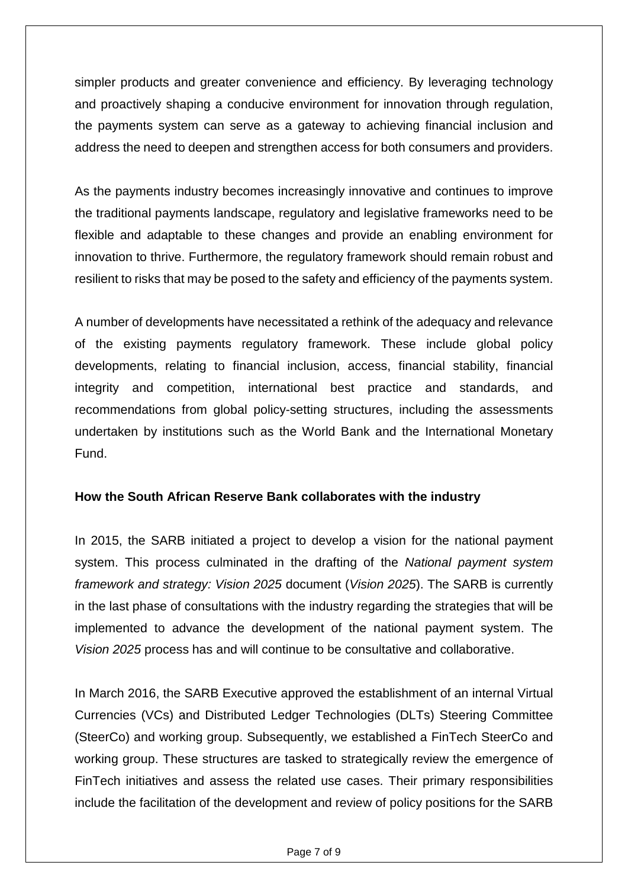simpler products and greater convenience and efficiency. By leveraging technology and proactively shaping a conducive environment for innovation through regulation, the payments system can serve as a gateway to achieving financial inclusion and address the need to deepen and strengthen access for both consumers and providers.

As the payments industry becomes increasingly innovative and continues to improve the traditional payments landscape, regulatory and legislative frameworks need to be flexible and adaptable to these changes and provide an enabling environment for innovation to thrive. Furthermore, the regulatory framework should remain robust and resilient to risks that may be posed to the safety and efficiency of the payments system.

A number of developments have necessitated a rethink of the adequacy and relevance of the existing payments regulatory framework. These include global policy developments, relating to financial inclusion, access, financial stability, financial integrity and competition, international best practice and standards, and recommendations from global policy-setting structures, including the assessments undertaken by institutions such as the World Bank and the International Monetary Fund.

#### **How the South African Reserve Bank collaborates with the industry**

In 2015, the SARB initiated a project to develop a vision for the national payment system. This process culminated in the drafting of the *National payment system framework and strategy: Vision 2025* document (*Vision 2025*). The SARB is currently in the last phase of consultations with the industry regarding the strategies that will be implemented to advance the development of the national payment system. The *Vision 2025* process has and will continue to be consultative and collaborative.

In March 2016, the SARB Executive approved the establishment of an internal Virtual Currencies (VCs) and Distributed Ledger Technologies (DLTs) Steering Committee (SteerCo) and working group. Subsequently, we established a FinTech SteerCo and working group. These structures are tasked to strategically review the emergence of FinTech initiatives and assess the related use cases. Their primary responsibilities include the facilitation of the development and review of policy positions for the SARB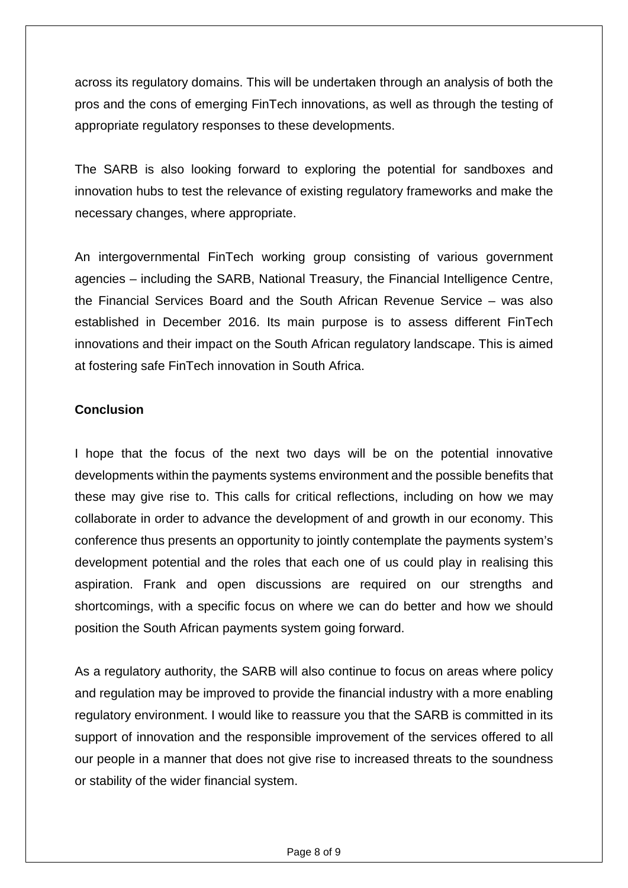across its regulatory domains. This will be undertaken through an analysis of both the pros and the cons of emerging FinTech innovations, as well as through the testing of appropriate regulatory responses to these developments.

The SARB is also looking forward to exploring the potential for sandboxes and innovation hubs to test the relevance of existing regulatory frameworks and make the necessary changes, where appropriate.

An intergovernmental FinTech working group consisting of various government agencies – including the SARB, National Treasury, the Financial Intelligence Centre, the Financial Services Board and the South African Revenue Service – was also established in December 2016. Its main purpose is to assess different FinTech innovations and their impact on the South African regulatory landscape. This is aimed at fostering safe FinTech innovation in South Africa.

## **Conclusion**

I hope that the focus of the next two days will be on the potential innovative developments within the payments systems environment and the possible benefits that these may give rise to. This calls for critical reflections, including on how we may collaborate in order to advance the development of and growth in our economy. This conference thus presents an opportunity to jointly contemplate the payments system's development potential and the roles that each one of us could play in realising this aspiration. Frank and open discussions are required on our strengths and shortcomings, with a specific focus on where we can do better and how we should position the South African payments system going forward.

As a regulatory authority, the SARB will also continue to focus on areas where policy and regulation may be improved to provide the financial industry with a more enabling regulatory environment. I would like to reassure you that the SARB is committed in its support of innovation and the responsible improvement of the services offered to all our people in a manner that does not give rise to increased threats to the soundness or stability of the wider financial system.